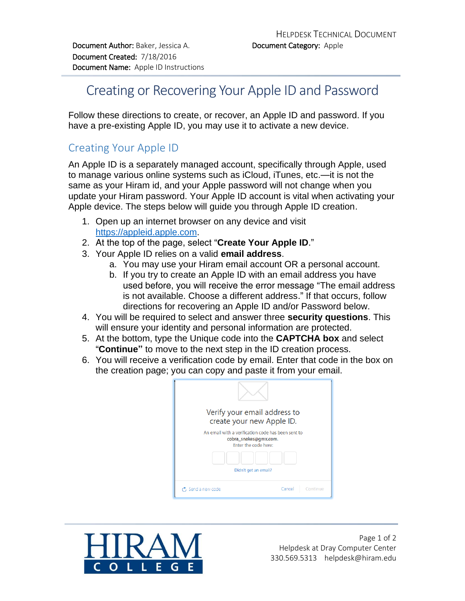## Creating or Recovering Your Apple ID and Password

Follow these directions to create, or recover, an Apple ID and password. If you have a pre-existing Apple ID, you may use it to activate a new device.

## Creating Your Apple ID

An Apple ID is a separately managed account, specifically through Apple, used to manage various online systems such as iCloud, iTunes, etc.—it is not the same as your Hiram id, and your Apple password will not change when you update your Hiram password. Your Apple ID account is vital when activating your Apple device. The steps below will guide you through Apple ID creation.

- 1. Open up an internet browser on any device and visit [https://appleid.apple.com.](https://appleid.apple.com/#!&page=signin)
- 2. At the top of the page, select "**Create Your Apple ID**."
- 3. Your Apple ID relies on a valid **email address**.
	- a. You may use your Hiram email account OR a personal account.
	- b. If you try to create an Apple ID with an email address you have used before, you will receive the error message "*The email address is not available. Choose a different address*." If that occurs, follow directions for recovering an Apple ID and/or Password below.
- 4. You will be required to select and answer three **security questions**. This will ensure your identity and personal information are protected.
- 5. At the bottom, type the Unique code into the **CAPTCHA box** and select "**Continue"** to move to the next step in the ID creation process.
- 6. You will receive a verification code by email. Enter that code in the box on the creation page; you can copy and paste it from your email.

| Verify your email address to<br>create your new Apple ID.                                           |                    |
|-----------------------------------------------------------------------------------------------------|--------------------|
| An email with a verification code has been sent to<br>cobra_snakes@gmx.com.<br>Enter the code here: |                    |
| Didn't get an email?                                                                                |                    |
|                                                                                                     |                    |
| $\sigma$ , Send a new code                                                                          | Cancel<br>Continue |